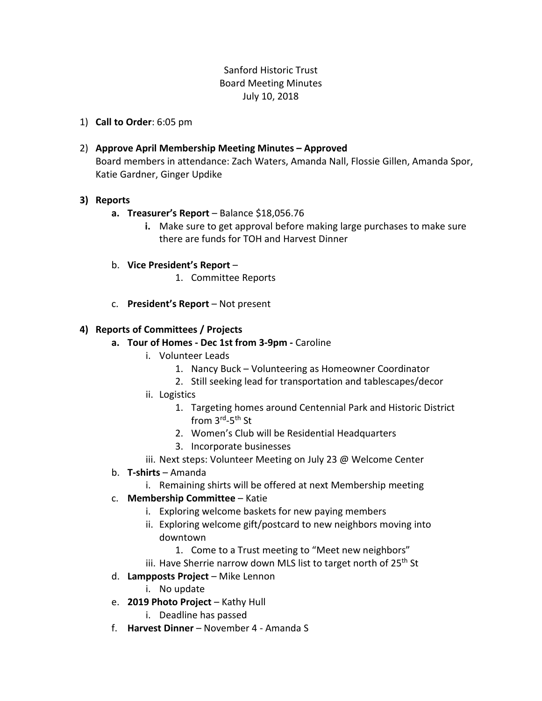# Sanford Historic Trust Board Meeting Minutes July 10, 2018

- 1) **Call to Order**: 6:05 pm
- 2) **Approve April Membership Meeting Minutes – Approved** Board members in attendance: Zach Waters, Amanda Nall, Flossie Gillen, Amanda Spor, Katie Gardner, Ginger Updike

### **3) Reports**

- **a. Treasurer's Report** Balance \$18,056.76
	- **i.** Make sure to get approval before making large purchases to make sure there are funds for TOH and Harvest Dinner
- b. **Vice President's Report**
	- 1. Committee Reports
- c. **President's Report** Not present

### **4) Reports of Committees / Projects**

- **a. Tour of Homes - Dec 1st from 3-9pm -** Caroline
	- i. Volunteer Leads
		- 1. Nancy Buck Volunteering as Homeowner Coordinator
		- 2. Still seeking lead for transportation and tablescapes/decor
	- ii. Logistics
		- 1. Targeting homes around Centennial Park and Historic District from 3<sup>rd</sup>-5<sup>th</sup> St
		- 2. Women's Club will be Residential Headquarters
		- 3. Incorporate businesses
	- iii. Next steps: Volunteer Meeting on July 23 @ Welcome Center
- b. **T-shirts** Amanda
	- i. Remaining shirts will be offered at next Membership meeting
- c. **Membership Committee** Katie
	- i. Exploring welcome baskets for new paying members
	- ii. Exploring welcome gift/postcard to new neighbors moving into downtown
		- 1. Come to a Trust meeting to "Meet new neighbors"
	- iii. Have Sherrie narrow down MLS list to target north of 25<sup>th</sup> St
- d. **Lampposts Project** Mike Lennon
	- i. No update
- e. **2019 Photo Project** Kathy Hull
	- i. Deadline has passed
- f. **Harvest Dinner** November 4 Amanda S